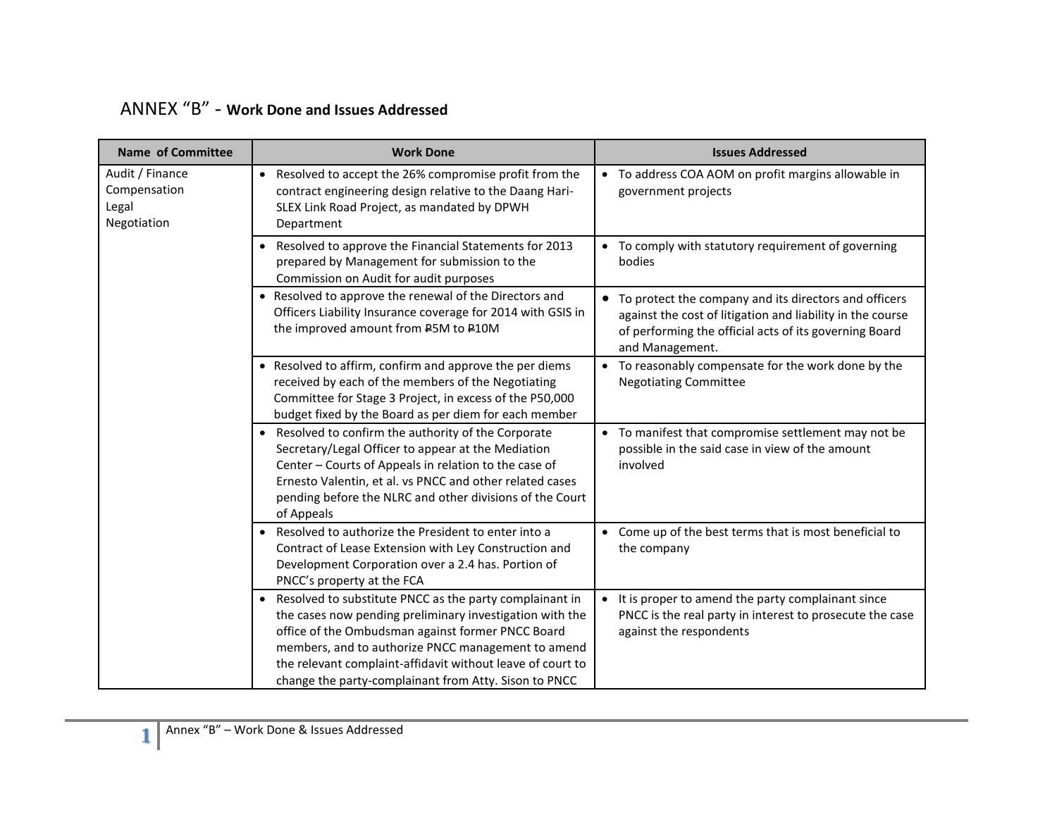| ANNEX "B" - Work Done and Issues Addressed |  |  |  |  |
|--------------------------------------------|--|--|--|--|
|--------------------------------------------|--|--|--|--|

| <b>Name of Committee</b>                                | <b>Work Done</b>                                                                                                                                                                                                                                                                                                                                        | <b>Issues Addressed</b>                                                                                                                                                                            |
|---------------------------------------------------------|---------------------------------------------------------------------------------------------------------------------------------------------------------------------------------------------------------------------------------------------------------------------------------------------------------------------------------------------------------|----------------------------------------------------------------------------------------------------------------------------------------------------------------------------------------------------|
| Audit / Finance<br>Compensation<br>Legal<br>Negotiation | • Resolved to accept the 26% compromise profit from the<br>contract engineering design relative to the Daang Hari-<br>SLEX Link Road Project, as mandated by DPWH<br>Department                                                                                                                                                                         | • To address COA AOM on profit margins allowable in<br>government projects                                                                                                                         |
|                                                         | • Resolved to approve the Financial Statements for 2013<br>prepared by Management for submission to the<br>Commission on Audit for audit purposes                                                                                                                                                                                                       | • To comply with statutory requirement of governing<br>bodies                                                                                                                                      |
|                                                         | • Resolved to approve the renewal of the Directors and<br>Officers Liability Insurance coverage for 2014 with GSIS in<br>the improved amount from P5M to P10M                                                                                                                                                                                           | • To protect the company and its directors and officers<br>against the cost of litigation and liability in the course<br>of performing the official acts of its governing Board<br>and Management. |
|                                                         | • Resolved to affirm, confirm and approve the per diems<br>received by each of the members of the Negotiating<br>Committee for Stage 3 Project, in excess of the P50,000<br>budget fixed by the Board as per diem for each member                                                                                                                       | • To reasonably compensate for the work done by the<br><b>Negotiating Committee</b>                                                                                                                |
|                                                         | • Resolved to confirm the authority of the Corporate<br>Secretary/Legal Officer to appear at the Mediation<br>Center - Courts of Appeals in relation to the case of<br>Ernesto Valentin, et al. vs PNCC and other related cases<br>pending before the NLRC and other divisions of the Court<br>of Appeals                                               | • To manifest that compromise settlement may not be<br>possible in the said case in view of the amount<br>involved                                                                                 |
|                                                         | Resolved to authorize the President to enter into a<br>$\bullet$<br>Contract of Lease Extension with Ley Construction and<br>Development Corporation over a 2.4 has. Portion of<br>PNCC's property at the FCA                                                                                                                                           | • Come up of the best terms that is most beneficial to<br>the company                                                                                                                              |
|                                                         | • Resolved to substitute PNCC as the party complainant in<br>the cases now pending preliminary investigation with the<br>office of the Ombudsman against former PNCC Board<br>members, and to authorize PNCC management to amend<br>the relevant complaint-affidavit without leave of court to<br>change the party-complainant from Atty. Sison to PNCC | It is proper to amend the party complainant since<br>PNCC is the real party in interest to prosecute the case<br>against the respondents                                                           |